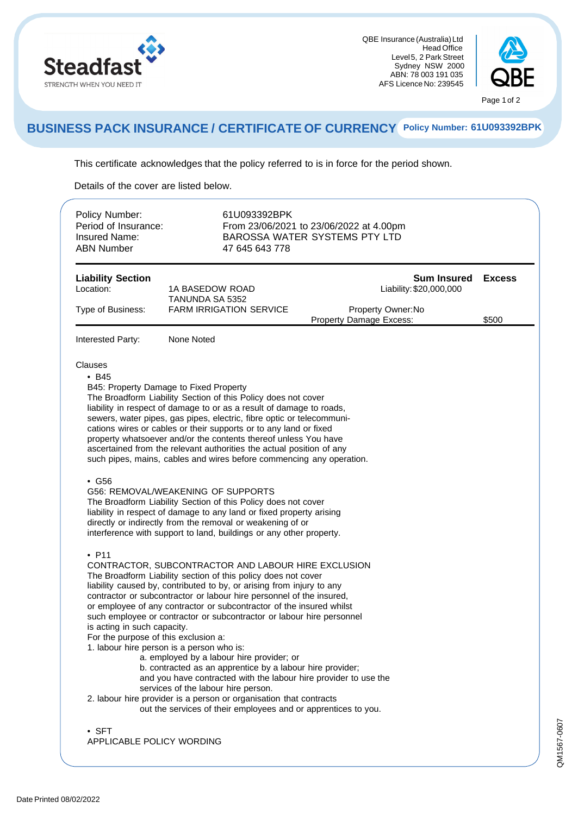

QBE Insurance (Australia)Ltd Head Office Level5, 2 Park Street Sydney NSW 2000 ABN: 78 003 191 035 AFS Licence No: 239545



## **BUSINESS PACK INSURANCE / CERTIFICATE OF CURRENCY Policy Number: 61U093392BPK**

This certificate acknowledges that the policy referred to is in force for the period shown.

Details of the cover are listed below.

| Policy Number:<br>Period of Insurance:<br><b>Insured Name:</b><br><b>ABN Number</b>                              | 61U093392BPK<br>From 23/06/2021 to 23/06/2022 at 4.00pm<br>BAROSSA WATER SYSTEMS PTY LTD<br>47 645 643 778                                                                                                                                                                                                                                                                                                                                                                                                                                                                                                                                                                                                                                                                                                                                                                                                                                                                                                                                                                                                                                                                                                                                                                                                                                                                                                                                                                                                                                                                                                                                                                                               |                                               |               |
|------------------------------------------------------------------------------------------------------------------|----------------------------------------------------------------------------------------------------------------------------------------------------------------------------------------------------------------------------------------------------------------------------------------------------------------------------------------------------------------------------------------------------------------------------------------------------------------------------------------------------------------------------------------------------------------------------------------------------------------------------------------------------------------------------------------------------------------------------------------------------------------------------------------------------------------------------------------------------------------------------------------------------------------------------------------------------------------------------------------------------------------------------------------------------------------------------------------------------------------------------------------------------------------------------------------------------------------------------------------------------------------------------------------------------------------------------------------------------------------------------------------------------------------------------------------------------------------------------------------------------------------------------------------------------------------------------------------------------------------------------------------------------------------------------------------------------------|-----------------------------------------------|---------------|
| <b>Liability Section</b><br>Location:                                                                            | 1A BASEDOW ROAD<br><b>TANUNDA SA 5352</b>                                                                                                                                                                                                                                                                                                                                                                                                                                                                                                                                                                                                                                                                                                                                                                                                                                                                                                                                                                                                                                                                                                                                                                                                                                                                                                                                                                                                                                                                                                                                                                                                                                                                | <b>Sum Insured</b><br>Liability: \$20,000,000 | <b>Excess</b> |
| Type of Business:                                                                                                | <b>FARM IRRIGATION SERVICE</b>                                                                                                                                                                                                                                                                                                                                                                                                                                                                                                                                                                                                                                                                                                                                                                                                                                                                                                                                                                                                                                                                                                                                                                                                                                                                                                                                                                                                                                                                                                                                                                                                                                                                           | Property Owner: No<br>Property Damage Excess: | \$500         |
| Interested Party:                                                                                                | None Noted                                                                                                                                                                                                                                                                                                                                                                                                                                                                                                                                                                                                                                                                                                                                                                                                                                                                                                                                                                                                                                                                                                                                                                                                                                                                                                                                                                                                                                                                                                                                                                                                                                                                                               |                                               |               |
| $\cdot$ B45<br>$\cdot$ G56<br>$\cdot$ P11<br>is acting in such capacity.<br>For the purpose of this exclusion a: | B45: Property Damage to Fixed Property<br>The Broadform Liability Section of this Policy does not cover<br>liability in respect of damage to or as a result of damage to roads,<br>sewers, water pipes, gas pipes, electric, fibre optic or telecommuni-<br>cations wires or cables or their supports or to any land or fixed<br>property whatsoever and/or the contents thereof unless You have<br>ascertained from the relevant authorities the actual position of any<br>such pipes, mains, cables and wires before commencing any operation.<br>G56: REMOVAL/WEAKENING OF SUPPORTS<br>The Broadform Liability Section of this Policy does not cover<br>liability in respect of damage to any land or fixed property arising<br>directly or indirectly from the removal or weakening of or<br>interference with support to land, buildings or any other property.<br>CONTRACTOR, SUBCONTRACTOR AND LABOUR HIRE EXCLUSION<br>The Broadform Liability section of this policy does not cover<br>liability caused by, contributed to by, or arising from injury to any<br>contractor or subcontractor or labour hire personnel of the insured,<br>or employee of any contractor or subcontractor of the insured whilst<br>such employee or contractor or subcontractor or labour hire personnel<br>1. labour hire person is a person who is:<br>a. employed by a labour hire provider; or<br>b. contracted as an apprentice by a labour hire provider;<br>and you have contracted with the labour hire provider to use the<br>services of the labour hire person.<br>2. labour hire provider is a person or organisation that contracts<br>out the services of their employees and or apprentices to you. |                                               |               |
| $\cdot$ SFT<br>APPLICABLE POLICY WORDING                                                                         |                                                                                                                                                                                                                                                                                                                                                                                                                                                                                                                                                                                                                                                                                                                                                                                                                                                                                                                                                                                                                                                                                                                                                                                                                                                                                                                                                                                                                                                                                                                                                                                                                                                                                                          |                                               |               |